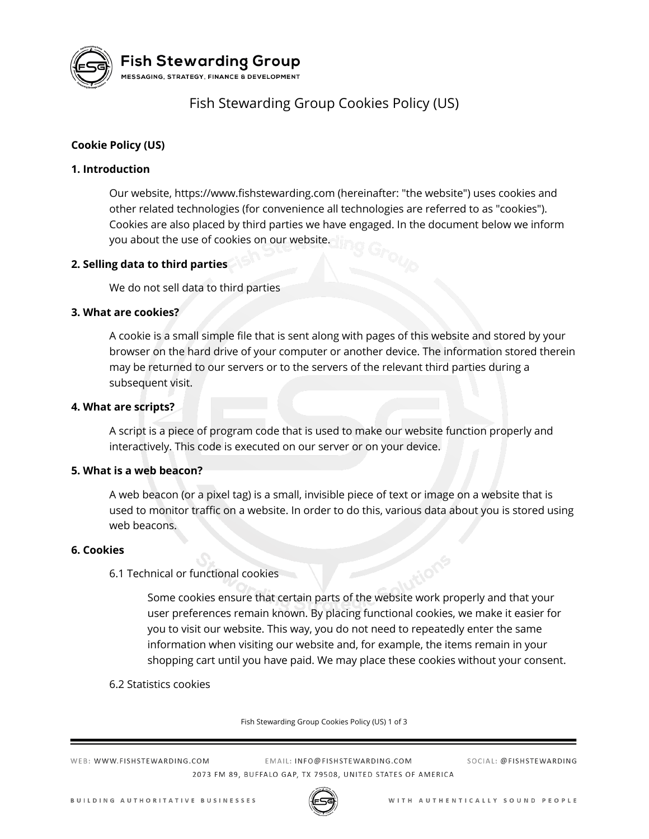

**Fish Stewarding Group** 

MESSAGING, STRATEGY, FINANCE & DEVELOPMENT

## Fish Stewarding Group Cookies Policy (US)

## **Cookie Policy (US)**

## **1. Introduction**

Our website, https://www.fishstewarding.com (hereinafter: "the website") uses cookies and other related technologies (for convenience all technologies are referred to as "cookies"). Cookies are also placed by third parties we have engaged. In the document below we inform you about the use of cookies on our website.

## **2. Selling data to third parties**

We do not sell data to third parties

## **3. What are cookies?**

A cookie is a small simple file that is sent along with pages of this website and stored by your browser on the hard drive of your computer or another device. The information stored therein may be returned to our servers or to the servers of the relevant third parties during a subsequent visit.

### **4. What are scripts?**

A script is a piece of program code that is used to make our website function properly and interactively. This code is executed on our server or on your device.

### **5. What is a web beacon?**

A web beacon (or a pixel tag) is a small, invisible piece of text or image on a website that is used to monitor traffic on a website. In order to do this, various data about you is stored using web beacons.

### **6. Cookies**

### 6.1 Technical or functional cookies

Some cookies ensure that certain parts of the website work properly and that your user preferences remain known. By placing functional cookies, we make it easier for you to visit our website. This way, you do not need to repeatedly enter the same information when visiting our website and, for example, the items remain in your shopping cart until you have paid. We may place these cookies without your consent.

6.2 Statistics cookies

Fish Stewarding Group Cookies Policy (US) 1 of 3

WEB: WWW.FISHSTEWARDING.COM

FMAIL: INFO@FISHSTFWARDING.COM 2073 FM 89, BUFFALO GAP, TX 79508, UNITED STATES OF AMERICA SOCIAL: @FISHSTEWARDING

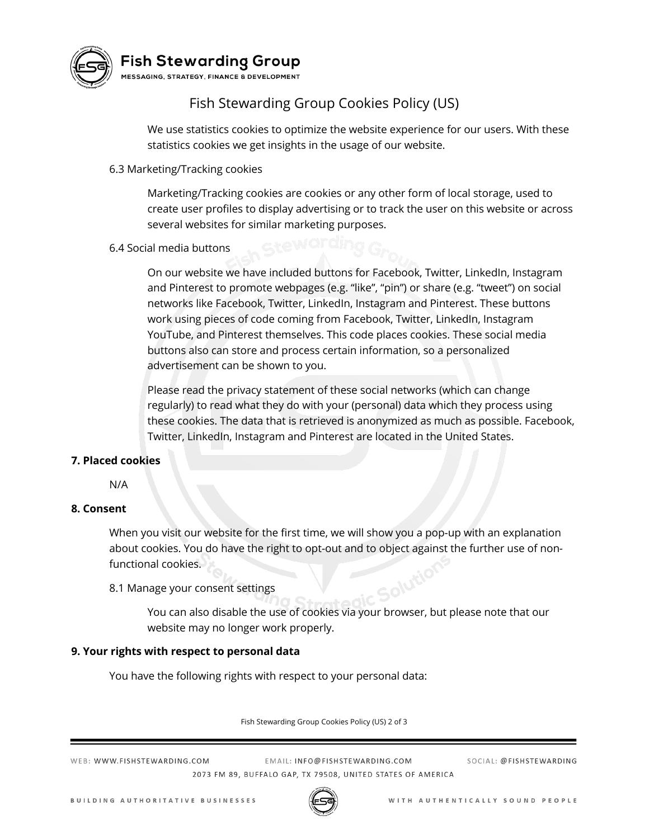

# Fish Stewarding Group

MESSAGING, STRATEGY, FINANCE & DEVELOPMENT

## Fish Stewarding Group Cookies Policy (US)

We use statistics cookies to optimize the website experience for our users. With these statistics cookies we get insights in the usage of our website.

6.3 Marketing/Tracking cookies

Marketing/Tracking cookies are cookies or any other form of local storage, used to create user profiles to display advertising or to track the user on this website or across several websites for similar marketing purposes.

## 6.4 Social media buttons

On our website we have included buttons for Facebook, Twitter, LinkedIn, Instagram and Pinterest to promote webpages (e.g. "like", "pin") or share (e.g. "tweet") on social networks like Facebook, Twitter, LinkedIn, Instagram and Pinterest. These buttons work using pieces of code coming from Facebook, Twitter, LinkedIn, Instagram YouTube, and Pinterest themselves. This code places cookies. These social media buttons also can store and process certain information, so a personalized advertisement can be shown to you.

Please read the privacy statement of these social networks (which can change regularly) to read what they do with your (personal) data which they process using these cookies. The data that is retrieved is anonymized as much as possible. Facebook, Twitter, LinkedIn, Instagram and Pinterest are located in the United States.

## **7. Placed cookies**

N/A

### **8. Consent**

When you visit our website for the first time, we will show you a pop-up with an explanation about cookies. You do have the right to opt-out and to object against the further use of nonfunctional cookies. Solution

8.1 Manage your consent settings

You can also disable the use of cookies via your browser, but please note that our website may no longer work properly.

### **9. Your rights with respect to personal data**

You have the following rights with respect to your personal data:

Fish Stewarding Group Cookies Policy (US) 2 of 3

WEB: WWW.FISHSTEWARDING.COM

EMAIL: INFO@FISHSTEWARDING.COM 2073 FM 89, BUFFALO GAP, TX 79508, UNITED STATES OF AMERICA SOCIAL: @FISHSTEWARDING